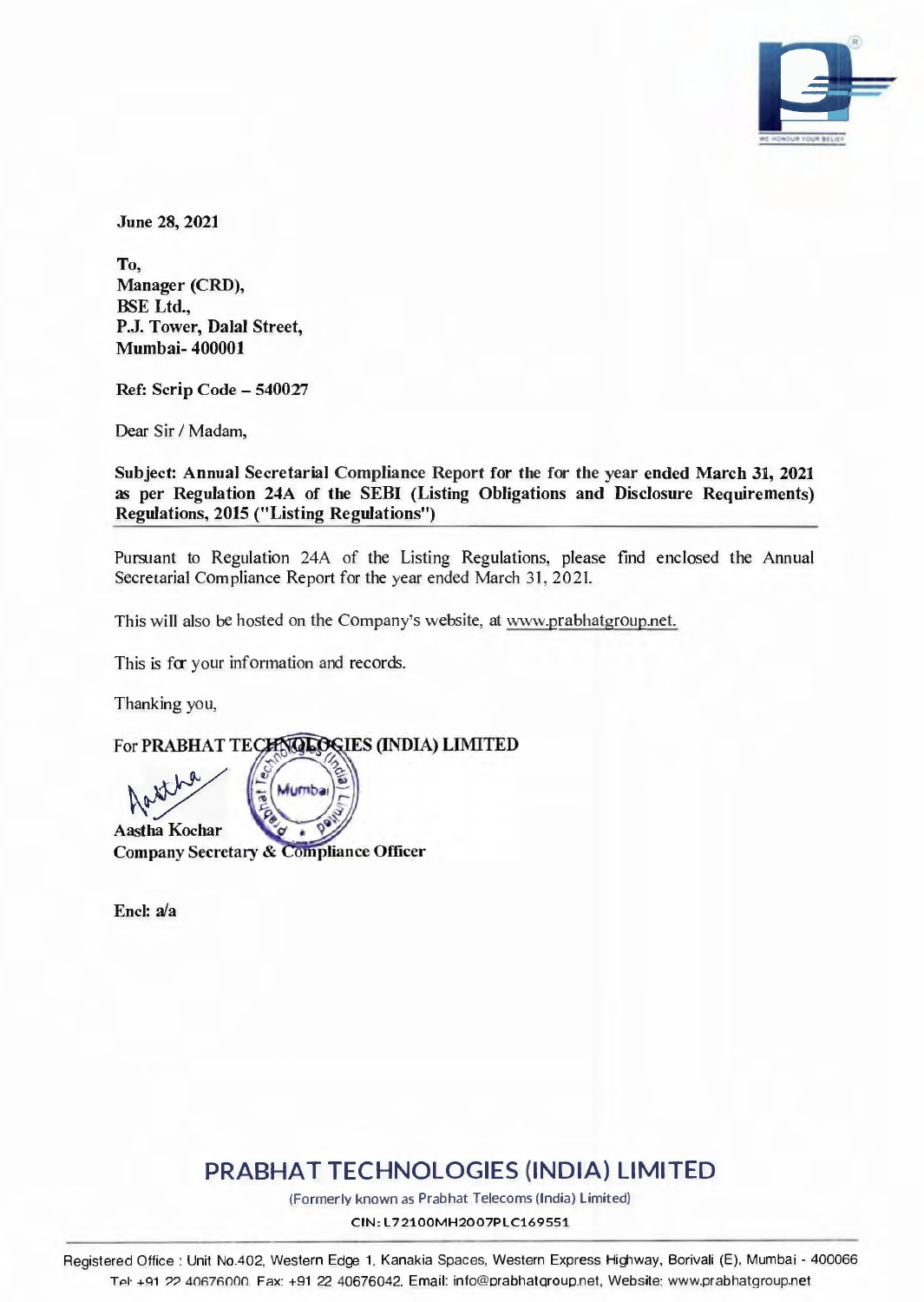

June 28, 2021

To, Manager (CRD), BSE Ltd., P.J. Tower, Dalal Street, Mumbai- 400001

Ref: Scrip Code - 540027

Dear Sir / Madam,

Subject: Annual Secretarial Compliance Report for the for the year ended March 31, 2021 as per Regulation 24A of the SEBI (Listing Obligations and Disclosure Requirements) Regulations, 2015 ("Listing Regulations")

Pursuant to Regulation 24A of the Listing Regulations, please find enclosed the Annual Secretarial Compliance Report for the year ended March 31, 2021.

This will also be hosted on the Company's website, at www.prabhatgroup.net.

This is for your information and records.

Thanking you,

For PRABHAT TECHNOLOGIES (INDIA) LIMITED

Mumba  $\sqrt{2}$ Aastha Kochar<br>Company Secretary & Compliance Officer

Encl: a/a

# **PRABHAT TECHNOLOGIES (INDIA) LIMITED**

(Formerly known as Prabhat Telecoms (India) Limited)

CIN: L72100MH2007PLC169551

Registered Office : Unit No.402, Western Edge 1 . Kanakia Spaces. Western Express Highway, Borivali (E), Mumbai - 400066 TAI· +C!1 *??* 40R7ROOO. Fax: +91 22 40676042. Email: info@orabhatqrouo.net, Website: www.prabhatgroup.net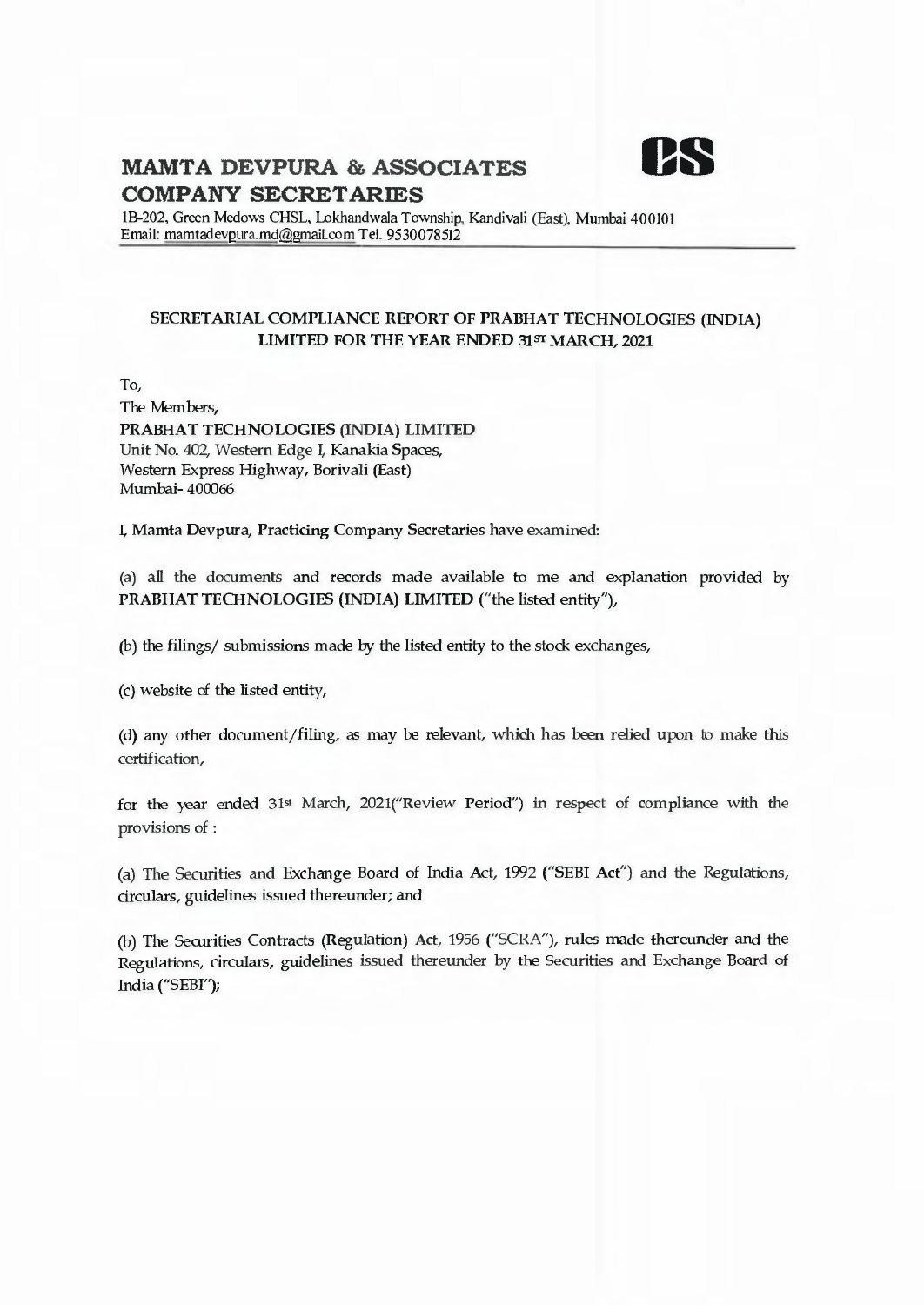

lB-202, Green Medows CHSL, Lokhandwala Township, Kandivali (East), Mumbai 400101 Email: mamtadevpura.md@gmail.com Tel. 9530078512

#### SECRETARIAL COMPLIANCE REPORT OF PRABHAT TECHNOLOGIES (INDIA) LIMITED FOR THE YEAR ENDED 31 ST MARCH, 2021

To,

The Members, PRABHAT TECHNOLOGIES (INDIA) LIMITED Unit No. 402, Western Edge I, Kanakia Spaces, Western Express Highway, Borivali (East) Mumbai- 400066

I, Mamta Devpura, Practicing Company Secretaries have examined:

(a) all the documents and records made available to me and explanation provided by PRABHAT TECHNOLOGIES (INDIA) LIMITED ("the listed entity"),

(b) the filings/ submissions made by the listed entity to the stock exchanges,

(c) website of the listed entity,

(d) any other document/filing, as may be relevant, which has been relied upon to make this certification,

for the year ended 31st March, 2021("Review Period") in respect of compliance with the provisions of :

(a) The Securities and Exchange Board of India Act, 1992 ("SEBI Act") and the Regulations, circulars, guidelines issued thereunder; and

(b) The Securities Contracts (Regulation) Act, 1956 ("SCRA"), rules made thereunder and the Regulations, circulars, guidelines issued thereunder by the Securities and Exchange Board of India ("SEBI");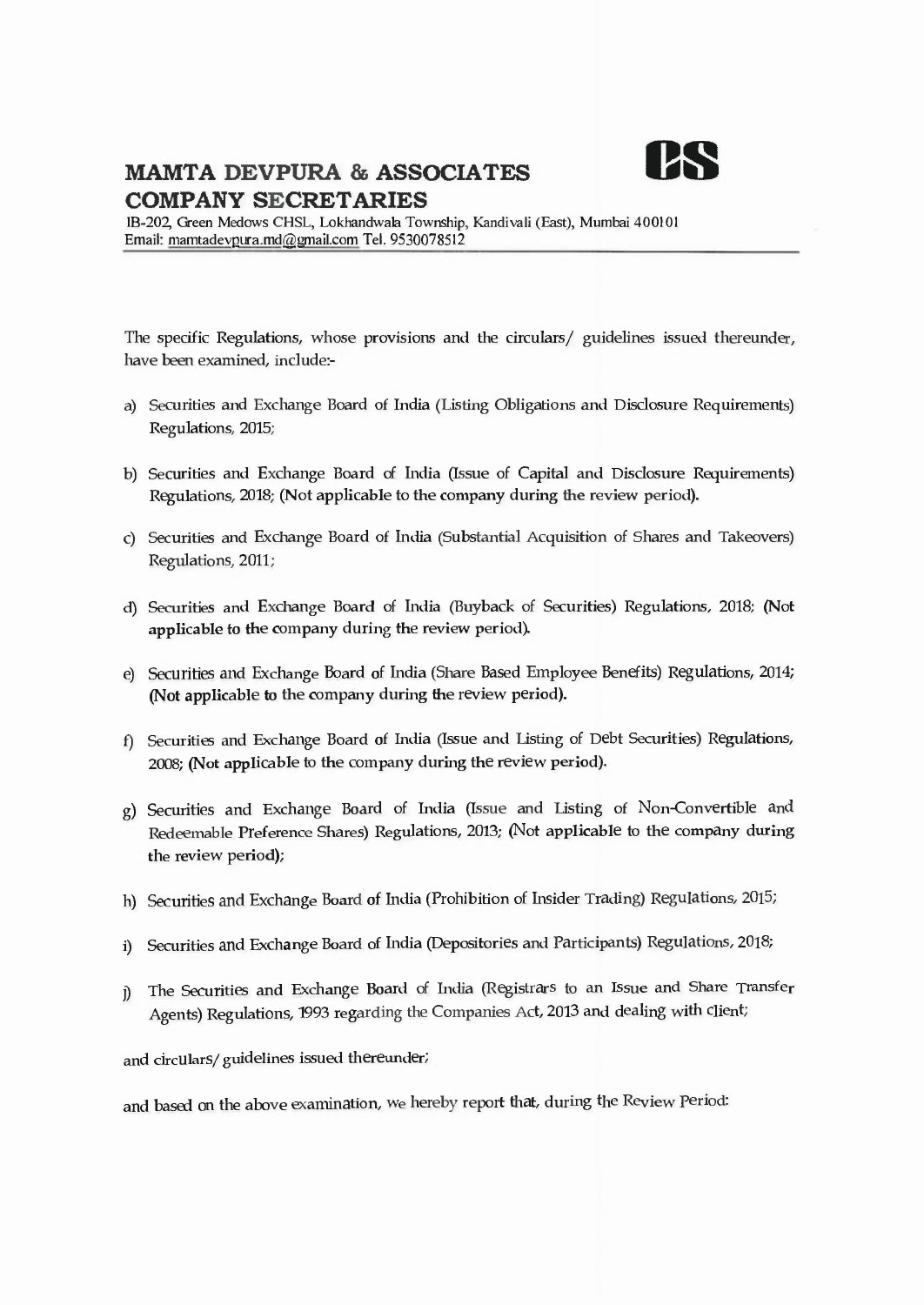

IB-202, Green Medows CHSL, Lokhandwala Township, Kandivali (East), Mumbai 400101 Email: mamtadevpura.md@gmail.com Tel. 9530078512

The specific Regulations, whose provisions and the circulars/ guidelines issued thereunder, have been examined, include:-

- a) Securities and Exchange Board of India (Listing Obligations and Disclosure Requirements) Regulations, 2015;
- b) Securities and Exchange Board of India (Issue of Capital and Disclosure Requirements) Regulations, 2018; (Not applicable to the company during the review period).
- c) Securities and Exchange Board of India (Substantial Acquisition of Shares and Takeovers) Regulations, 2011;
- d) Securities and Exchange Board of India (Buyback of Securities) Regulations, 2018; (Not applicable to the company during the review period).
- e) Securities and Exchange Board of India (Share Based Employee Benefits) Regulations, 2014; (Not applicable to the company during the review period).
- f) Securities and Exchange Board of India (Issue and Listing of Debt Securities) Regulations, 2008; (Not applicable to the company during the review period).
- g) Securities and Exchange Board of India (Issue and Listing of Non-Convertible and Redeemable Preference Shares) Regulations, 2013; (Not applicable to the company during the review period);
- h) Securities and Exchange Board of India (Prohibition of Insider Trading) Regulations, 2015;
- i) Securities and Exchange Board of India (Depositories and Participants) Regulations, 2018;
- j) The Securities and Exchange Board of India (Registrars to an Issue and Share Transfer Agents) Regulations, 1993 regarding the Companies Act, 2013 and dealing with client;

and circulars/ guidelines issued thereunder;

and based on the above examination, we hereby report that, during the Review Period: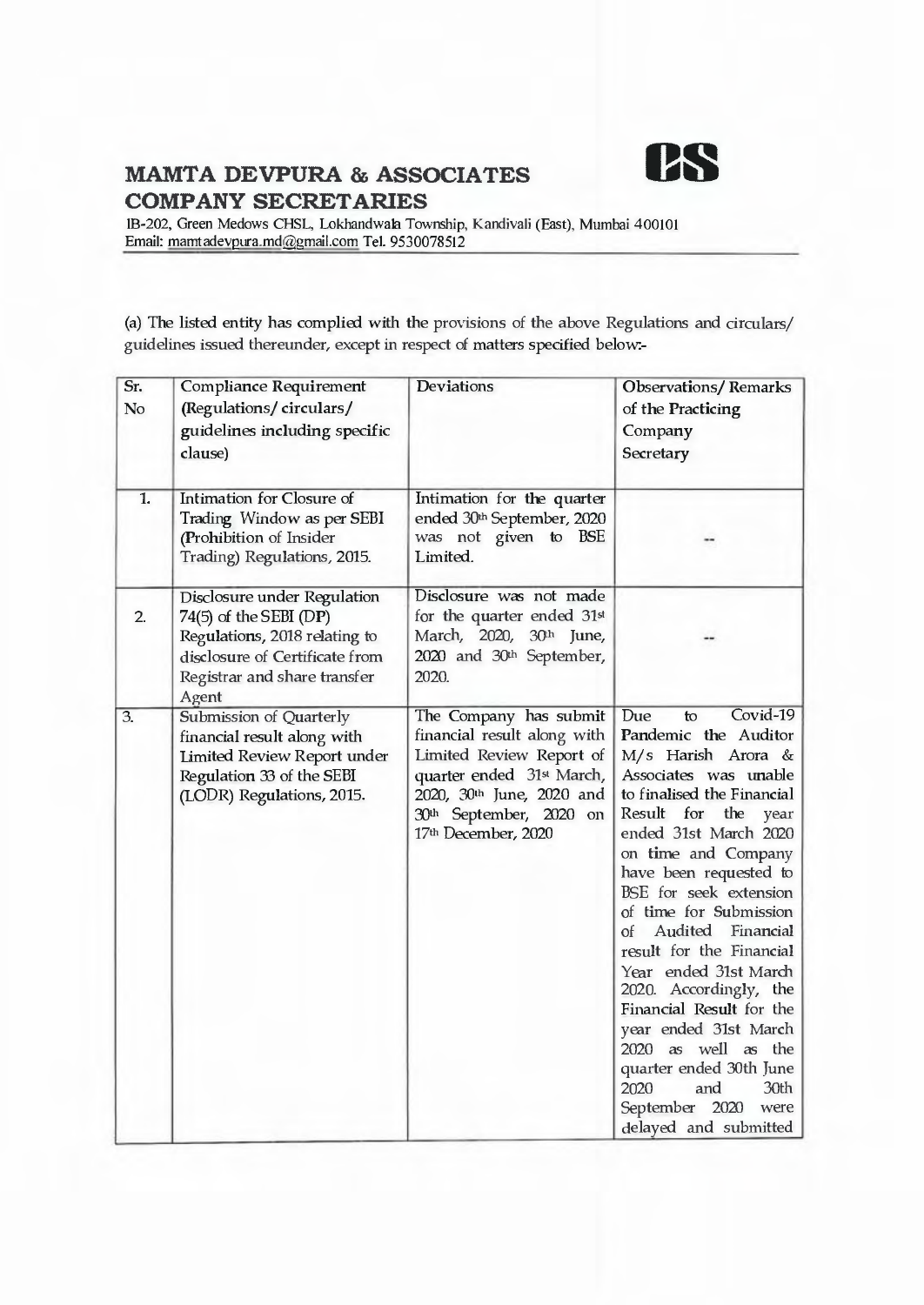

lB-202, Green Medows CHSL, Lokhandwala Township, Kandivali (East), Mumbai 400101 Email: mamtadevpura.md@gmail.com Tel. 9530078512

(a) The listed entity has complied with the provisions of the above Regulations and circulars/ guidelines issued thereunder, except in respect of matters specified below:-

| Sr.              | Compliance Requirement                                                                                                                                              | Deviations                                                                                                                                                                                                | <b>Observations/Remarks</b>                                                                                                                                                                                                                                                                                                                                                                                                                                                                                                                                                         |
|------------------|---------------------------------------------------------------------------------------------------------------------------------------------------------------------|-----------------------------------------------------------------------------------------------------------------------------------------------------------------------------------------------------------|-------------------------------------------------------------------------------------------------------------------------------------------------------------------------------------------------------------------------------------------------------------------------------------------------------------------------------------------------------------------------------------------------------------------------------------------------------------------------------------------------------------------------------------------------------------------------------------|
| No               | (Regulations/circulars/<br>guidelines including specific<br>clause)                                                                                                 |                                                                                                                                                                                                           | of the Practicing<br>Company<br>Secretary                                                                                                                                                                                                                                                                                                                                                                                                                                                                                                                                           |
| 1.               | Intimation for Closure of<br>Trading Window as per SEBI<br>(Prohibition of Insider<br>Trading) Regulations, 2015.                                                   | Intimation for the quarter<br>ended 30th September, 2020<br>was not given to BSE<br>Limited.                                                                                                              |                                                                                                                                                                                                                                                                                                                                                                                                                                                                                                                                                                                     |
| 2.               | Disclosure under Regulation<br>$74(5)$ of the SEBI (DP)<br>Regulations, 2018 relating to<br>disclosure of Certificate from<br>Registrar and share transfer<br>Agent | Disclosure was not made<br>for the quarter ended 31st<br>March, 2020, 30th June,<br>2020 and 30th September,<br>2020.                                                                                     |                                                                                                                                                                                                                                                                                                                                                                                                                                                                                                                                                                                     |
| $\overline{3}$ . | Submission of Quarterly<br>financial result along with<br>Limited Review Report under<br>Regulation 33 of the SEBI<br>(LODR) Regulations, 2015.                     | The Company has submit<br>financial result along with<br>Limited Review Report of<br>quarter ended 31 <sup>st</sup> March,<br>2020, 30th June, 2020 and<br>30th September, 2020 on<br>17th December, 2020 | Covid-19<br>Due<br>to<br>Pandemic the Auditor<br>M/s Harish Arora &<br>Associates was unable<br>to finalised the Financial<br>Result for the<br>year<br>ended 31st March 2020<br>on time and Company<br>have been requested to<br>BSE for seek extension<br>of time for Submission<br>Audited<br>Financial<br>of<br>result for the Financial<br>Year ended 31st March<br>2020. Accordingly, the<br>Financial Result for the<br>year ended 31st March<br>2020 as well as the<br>quarter ended 30th June<br>and<br>30th<br>2020<br>September<br>2020<br>were<br>delayed and submitted |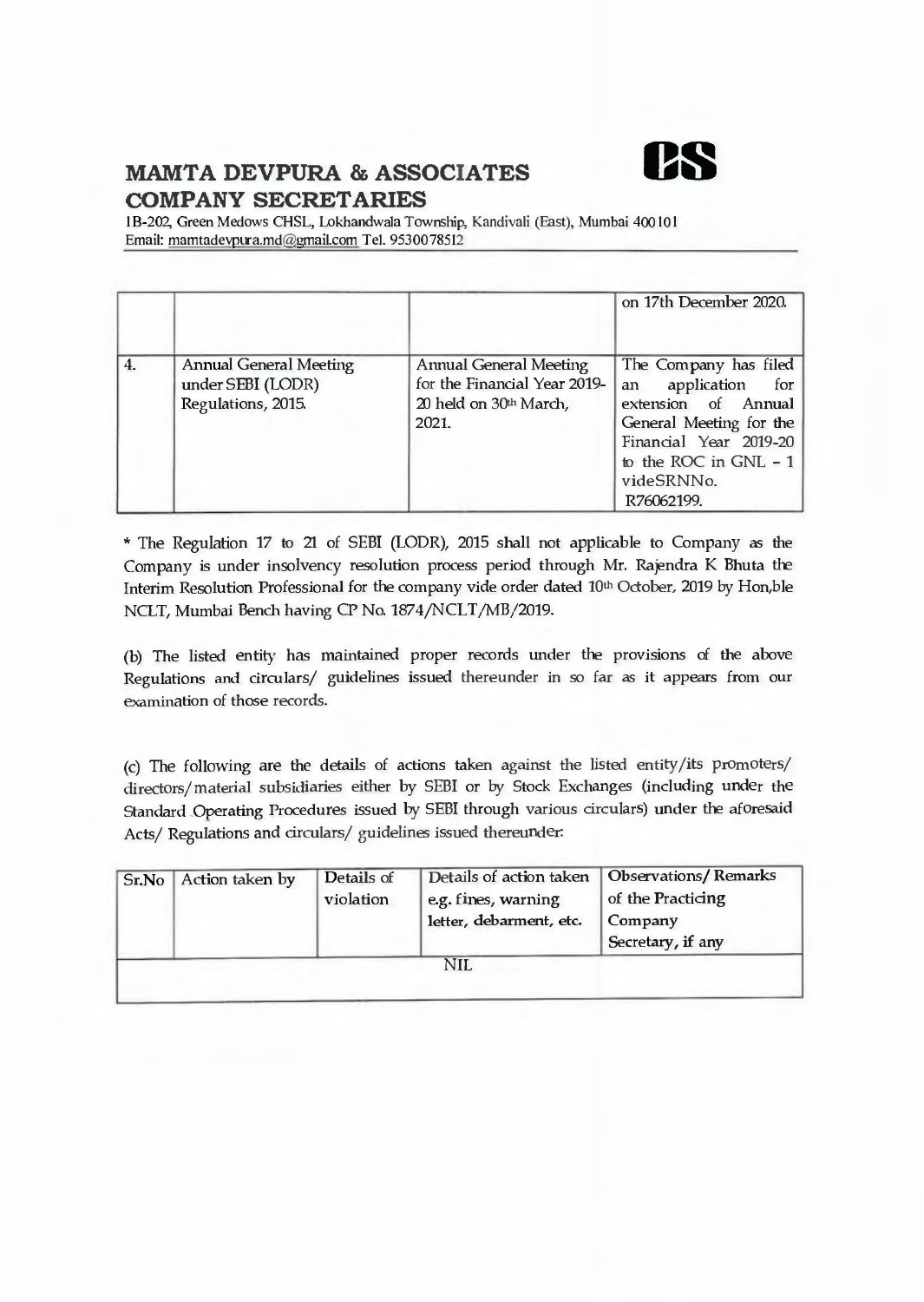

I B-202, Green Medows CHSL, Lokhandwala Township, Kandivali (East), Mumbai 400 IO I Email: mamtadevpura.md@gmail.com Tel. 9530078512

|                |                                                                   |                                                                                           | on 17th December 2020.                                                                                                                                                           |
|----------------|-------------------------------------------------------------------|-------------------------------------------------------------------------------------------|----------------------------------------------------------------------------------------------------------------------------------------------------------------------------------|
| $\overline{4}$ | Annual General Meeting<br>under SEBI (LODR)<br>Regulations, 2015. | Annual General Meeting<br>for the Financial Year 2019-<br>20 held on 30th March,<br>2021. | The Company has filed<br>application for<br>an<br>extension of Annual<br>General Meeting for the<br>Financial Year 2019-20<br>to the ROC in GNL $-1$<br>videSRNNo.<br>R76062199. |

\* The Regulation 17 to 21 of SEBI (LODR), 2015 shall not applicable to Company as the Company is under insolvency resolution process period through Mr. Rajendra K Bhuta the Interim Resolution Professional for the company vide order dated 10th October, 2019 by Hon,ble NCLT, Mumbai Bench having CP No. 1874/NCLT/MB/2019.

(b) The listed entity has maintained proper records under the provisions of the above Regulations and circulars/ guidelines issued thereunder in so far as it appears from our examination of those records.

(c) The following are the details of actions taken against the listed entity/its promoters/ directors/ material subsidiaries either by SEBI or by Stock Exchanges (including under the Standard .Operating Procedures issued by SEBI through various circulars) under the aforesaid Acts/ Regulations and circulars/ guidelines issued thereunder:

| Sr.No | Action taken by | Details of |                         | Details of action taken   Observations/Remarks |  |  |
|-------|-----------------|------------|-------------------------|------------------------------------------------|--|--|
|       |                 | violation  | e.g. fines, warning     | of the Practicing                              |  |  |
|       |                 |            | letter, debarment, etc. | Company                                        |  |  |
|       |                 |            |                         | Secretary, if any                              |  |  |
| NIL   |                 |            |                         |                                                |  |  |